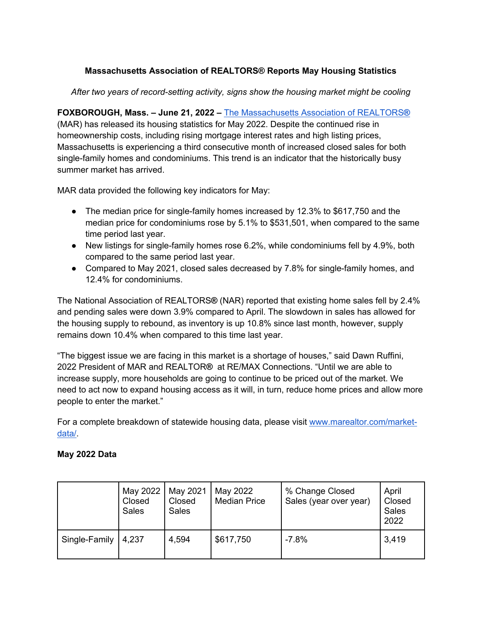## **Massachusetts Association of REALTORS® Reports May Housing Statistics**

*After two years of record-setting activity, signs show the housing market might be cooling*

**FOXBOROUGH, Mass. – June 21, 2022 –** The Massachusetts Association of REALTORS**®** (MAR) has released its housing statistics for May 2022. Despite the continued rise in homeownership costs, including rising mortgage interest rates and high listing prices, Massachusetts is experiencing a third consecutive month of increased closed sales for both single-family homes and condominiums. This trend is an indicator that the historically busy summer market has arrived.

MAR data provided the following key indicators for May:

- The median price for single-family homes increased by 12.3% to \$617,750 and the median price for condominiums rose by 5.1% to \$531,501, when compared to the same time period last year.
- New listings for single-family homes rose 6.2%, while condominiums fell by 4.9%, both compared to the same period last year.
- Compared to May 2021, closed sales decreased by 7.8% for single-family homes, and 12.4% for condominiums.

The National Association of REALTORS**®** (NAR) reported that existing home sales fell by 2.4% and pending sales were down 3.9% compared to April. The slowdown in sales has allowed for the housing supply to rebound, as inventory is up 10.8% since last month, however, supply remains down 10.4% when compared to this time last year.

"The biggest issue we are facing in this market is a shortage of houses," said Dawn Ruffini, 2022 President of MAR and REALTOR**®** at RE/MAX Connections. "Until we are able to increase supply, more households are going to continue to be priced out of the market. We need to act now to expand housing access as it will, in turn, reduce home prices and allow more people to enter the market."

For a complete breakdown of statewide housing data, please visit www.marealtor.com/marketdata/.

## **May 2022 Data**

|               | May 2022<br>Closed<br>Sales | May 2021<br>Closed<br><b>Sales</b> | May 2022<br><b>Median Price</b> | % Change Closed<br>Sales (year over year) | April<br>Closed<br><b>Sales</b><br>2022 |
|---------------|-----------------------------|------------------------------------|---------------------------------|-------------------------------------------|-----------------------------------------|
| Single-Family | 4,237                       | 4.594                              | \$617,750                       | $-7.8%$                                   | 3,419                                   |